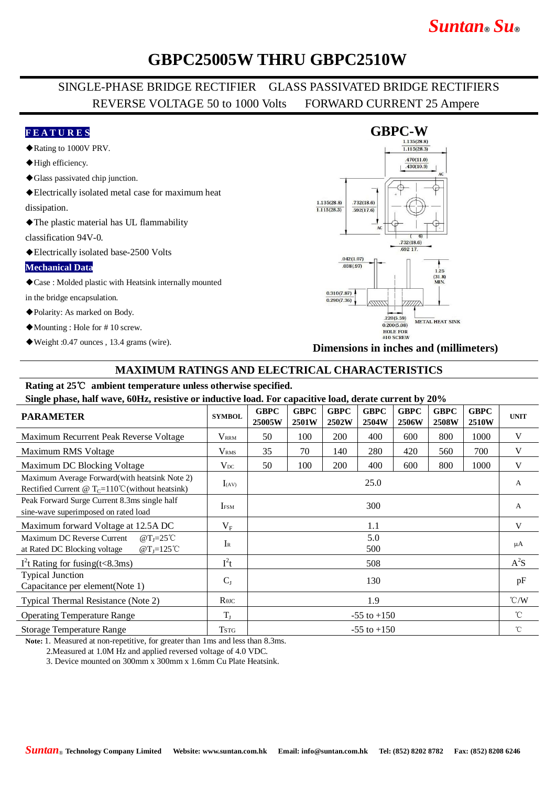# *Suntan***®** *Su***®**

## **GBPC25005W THRU GBPC2510W**

## SINGLE-PHASE BRIDGE RECTIFIER GLASS PASSIVATED BRIDGE RECTIFIERS REVERSE VOLTAGE 50 to 1000 Volts FORWARD CURRENT 25 Ampere

#### **F E A T U R E S**

- ◆Rating to 1000V PRV.
- ◆High efficiency.
- ◆Glass passivated chip junction.
- ◆Electrically isolated metal case for maximum heat

dissipation.

◆The plastic material has UL flammability

classification 94V-0.

◆Electrically isolated base-2500 Volts

#### **Mechanical Data**

◆Case : Molded plastic with Heatsink internally mounted

in the bridge encapsulation.

- ◆Polarity: As marked on Body.
- ◆Mounting : Hole for # 10 screw.
- ◆Weight :0.47 ounces , 13.4 grams (wire).



#### **Dimensions in inches and (millimeters)**

### **MAXIMUM RATINGS AND ELECTRICAL CHARACTERISTICS**

## **Rating at 25**℃ **ambient temperature unless otherwise specified.**

**Single phase, half wave, 60Hz, resistive or inductive load. For capacitive load, derate current by 20%**

| $\frac{1}{2}$ $\frac{1}{2}$ $\frac{1}{2}$ $\frac{1}{2}$ $\frac{1}{2}$ $\frac{1}{2}$ $\frac{1}{2}$ $\frac{1}{2}$ $\frac{1}{2}$ $\frac{1}{2}$ $\frac{1}{2}$ $\frac{1}{2}$ $\frac{1}{2}$ $\frac{1}{2}$ $\frac{1}{2}$ $\frac{1}{2}$ $\frac{1}{2}$ $\frac{1}{2}$ $\frac{1}{2}$ $\frac{1}{2}$ $\frac{1}{2}$ $\frac{1}{2}$<br><b>PARAMETER</b> | <b>SYMBOL</b>    | <b>GBPC</b><br>25005W | <b>GBPC</b><br>2501W | <b>GBPC</b><br>2502W | <b>GBPC</b><br>2504W | <b>GBPC</b><br><b>2506W</b> | <b>GBPC</b><br>2508W | <b>GBPC</b><br>2510W | <b>UNIT</b>   |
|-----------------------------------------------------------------------------------------------------------------------------------------------------------------------------------------------------------------------------------------------------------------------------------------------------------------------------------------|------------------|-----------------------|----------------------|----------------------|----------------------|-----------------------------|----------------------|----------------------|---------------|
| Maximum Recurrent Peak Reverse Voltage                                                                                                                                                                                                                                                                                                  | $V_{\rm RRM}$    | 50                    | 100                  | 200                  | 400                  | 600                         | 800                  | 1000                 | V             |
| Maximum RMS Voltage                                                                                                                                                                                                                                                                                                                     | V <sub>RMS</sub> | 35                    | 70                   | 140                  | 280                  | 420                         | 560                  | 700                  | V             |
| Maximum DC Blocking Voltage                                                                                                                                                                                                                                                                                                             | $V_{DC}$         | 50                    | 100                  | 200                  | 400                  | 600                         | 800                  | 1000                 | V             |
| Maximum Average Forward(with heatsink Note 2)<br>Rectified Current @ $T_c = 110^{\circ}$ C (without heatsink)                                                                                                                                                                                                                           | $I_{(AV)}$       | 25.0                  |                      |                      |                      |                             |                      |                      | A             |
| Peak Forward Surge Current 8.3ms single half<br>sine-wave superimposed on rated load                                                                                                                                                                                                                                                    | <b>IFSM</b>      | 300                   |                      |                      |                      |                             |                      |                      | A             |
| Maximum forward Voltage at 12.5A DC                                                                                                                                                                                                                                                                                                     | $V_{\rm F}$      | 1.1                   |                      |                      |                      |                             |                      |                      | V             |
| Maximum DC Reverse Current<br>$@T_1=25^{\circ}C$<br>$\omega$ T <sub>I</sub> =125 <sup>°</sup> C<br>at Rated DC Blocking voltage                                                                                                                                                                                                         | $I_{R}$          | 5.0<br>500            |                      |                      |                      |                             |                      |                      | μA            |
| $I2t$ Rating for fusing(t<8.3ms)                                                                                                                                                                                                                                                                                                        | $I^2t$           | 508                   |                      |                      |                      |                             |                      |                      | $A^2S$        |
| <b>Typical Junction</b><br>Capacitance per element(Note 1)                                                                                                                                                                                                                                                                              | $C_{J}$          | 130                   |                      |                      |                      |                             |                      |                      | pF            |
| Typical Thermal Resistance (Note 2)                                                                                                                                                                                                                                                                                                     | $R$ $\theta$ JC  | 1.9                   |                      |                      |                      |                             |                      |                      | $\degree$ C/W |
| <b>Operating Temperature Range</b>                                                                                                                                                                                                                                                                                                      | $T_{\rm J}$      | $-55$ to $+150$       |                      |                      |                      |                             |                      |                      | °C            |
| <b>Storage Temperature Range</b>                                                                                                                                                                                                                                                                                                        | <b>TSTG</b>      | $-55$ to $+150$       |                      |                      |                      |                             |                      |                      | $^{\circ}$ C  |

**Note:** 1. Measured at non-repetitive, for greater than 1ms and less than 8.3ms.

2.Measured at 1.0M Hz and applied reversed voltage of 4.0 VDC.

3. Device mounted on 300mm x 300mm x 1.6mm Cu Plate Heatsink.